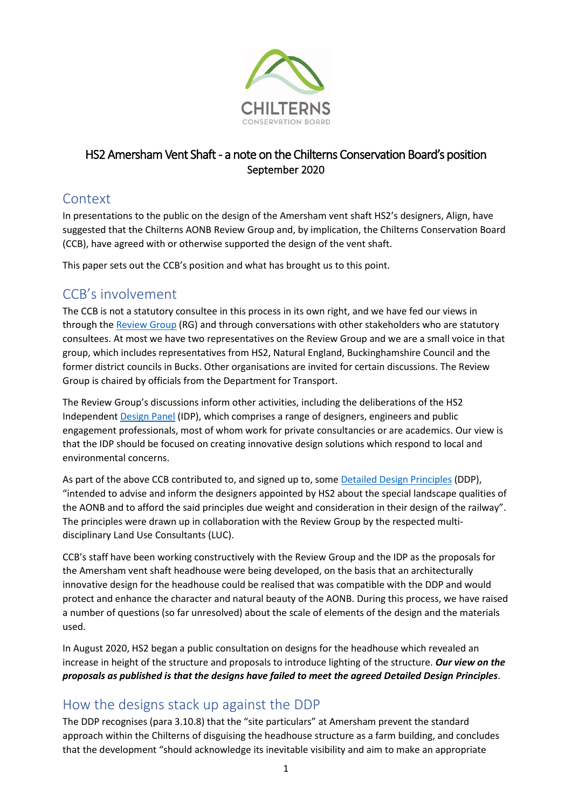

#### HS2 Amersham Vent Shaft - a note on the Chilterns Conservation Board's position September 2020

### Context

In presentations to the public on the design of the Amersham vent shaft HS2's designers, Align, have suggested that the Chilterns AONB Review Group and, by implication, the Chilterns Conservation Board (CCB), have agreed with or otherwise supported the design of the vent shaft.

This paper sets out the CCB's position and what has brought us to this point.

## CCB's involvement

The CCB is not a statutory consultee in this process in its own right, and we have fed our views in through the [Review Group](https://www.chilternsaonb.org/latestNews/hs2/HS2-Review-Group.html) (RG) and through conversations with other stakeholders who are statutory consultees. At most we have two representatives on the Review Group and we are a small voice in that group, which includes representatives from HS2, Natural England, Buckinghamshire Council and the former district councils in Bucks. Other organisations are invited for certain discussions. The Review Group is chaired by officials from the Department for Transport.

The Review Group's discussions inform other activities, including the deliberations of the HS2 Independent [Design Panel](https://www.gov.uk/government/publications/hs2-design-panel) (IDP), which comprises a range of designers, engineers and public engagement professionals, most of whom work for private consultancies or are academics. Our view is that the IDP should be focused on creating innovative design solutions which respond to local and environmental concerns.

As part of the above CCB contributed to, and signed up to, some [Detailed Design Principles](https://www.chilternsaonb.org/uploads/6974-Chilterns%20AONB_HS2%20CEIP_Part%201_Detailed%20Design%20Principles_low%20res.pdf) (DDP), "intended to advise and inform the designers appointed by HS2 about the special landscape qualities of the AONB and to afford the said principles due weight and consideration in their design of the railway". The principles were drawn up in collaboration with the Review Group by the respected multidisciplinary Land Use Consultants (LUC).

CCB's staff have been working constructively with the Review Group and the IDP as the proposals for the Amersham vent shaft headhouse were being developed, on the basis that an architecturally innovative design for the headhouse could be realised that was compatible with the DDP and would protect and enhance the character and natural beauty of the AONB. During this process, we have raised a number of questions (so far unresolved) about the scale of elements of the design and the materials used.

In August 2020, HS2 began a public consultation on designs for the headhouse which revealed an increase in height of the structure and proposals to introduce lighting of the structure. *Our view on the proposals as published is that the designs have failed to meet the agreed Detailed Design Principles*.

# How the designs stack up against the DDP

The DDP recognises (para 3.10.8) that the "site particulars" at Amersham prevent the standard approach within the Chilterns of disguising the headhouse structure as a farm building, and concludes that the development "should acknowledge its inevitable visibility and aim to make an appropriate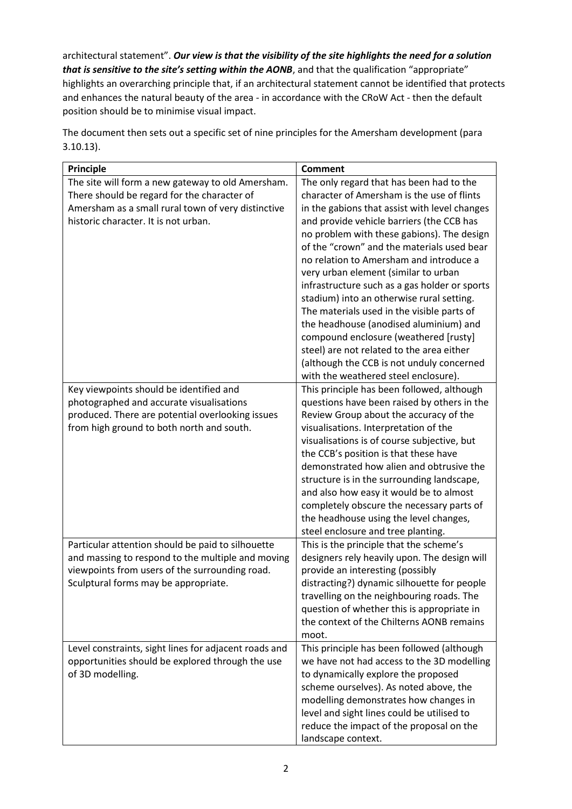architectural statement". *Our view is that the visibility of the site highlights the need for a solution that is sensitive to the site's setting within the AONB*, and that the qualification "appropriate" highlights an overarching principle that, if an architectural statement cannot be identified that protects and enhances the natural beauty of the area - in accordance with the CRoW Act - then the default position should be to minimise visual impact.

| The site will form a new gateway to old Amersham.<br>The only regard that has been had to the                                                     |
|---------------------------------------------------------------------------------------------------------------------------------------------------|
|                                                                                                                                                   |
| character of Amersham is the use of flints<br>There should be regard for the character of                                                         |
| Amersham as a small rural town of very distinctive<br>in the gabions that assist with level changes                                               |
| historic character. It is not urban.<br>and provide vehicle barriers (the CCB has                                                                 |
| no problem with these gabions). The design                                                                                                        |
| of the "crown" and the materials used bear                                                                                                        |
| no relation to Amersham and introduce a                                                                                                           |
| very urban element (similar to urban                                                                                                              |
| infrastructure such as a gas holder or sports                                                                                                     |
| stadium) into an otherwise rural setting.                                                                                                         |
| The materials used in the visible parts of                                                                                                        |
| the headhouse (anodised aluminium) and                                                                                                            |
| compound enclosure (weathered [rusty]                                                                                                             |
| steel) are not related to the area either                                                                                                         |
| (although the CCB is not unduly concerned                                                                                                         |
| with the weathered steel enclosure).                                                                                                              |
| Key viewpoints should be identified and<br>This principle has been followed, although                                                             |
| photographed and accurate visualisations<br>questions have been raised by others in the                                                           |
| produced. There are potential overlooking issues<br>Review Group about the accuracy of the                                                        |
| from high ground to both north and south.<br>visualisations. Interpretation of the                                                                |
| visualisations is of course subjective, but                                                                                                       |
| the CCB's position is that these have                                                                                                             |
| demonstrated how alien and obtrusive the                                                                                                          |
| structure is in the surrounding landscape,                                                                                                        |
| and also how easy it would be to almost                                                                                                           |
| completely obscure the necessary parts of                                                                                                         |
| the headhouse using the level changes,                                                                                                            |
| steel enclosure and tree planting.                                                                                                                |
| Particular attention should be paid to silhouette<br>This is the principle that the scheme's                                                      |
| and massing to respond to the multiple and moving<br>designers rely heavily upon. The design will                                                 |
| viewpoints from users of the surrounding road.<br>provide an interesting (possibly                                                                |
| Sculptural forms may be appropriate.<br>distracting?) dynamic silhouette for people                                                               |
| travelling on the neighbouring roads. The                                                                                                         |
| question of whether this is appropriate in                                                                                                        |
| the context of the Chilterns AONB remains<br>moot.                                                                                                |
|                                                                                                                                                   |
| Level constraints, sight lines for adjacent roads and<br>This principle has been followed (although<br>we have not had access to the 3D modelling |
| opportunities should be explored through the use<br>of 3D modelling.<br>to dynamically explore the proposed                                       |
| scheme ourselves). As noted above, the                                                                                                            |
| modelling demonstrates how changes in                                                                                                             |
| level and sight lines could be utilised to                                                                                                        |
|                                                                                                                                                   |
| reduce the impact of the proposal on the                                                                                                          |

The document then sets out a specific set of nine principles for the Amersham development (para 3.10.13).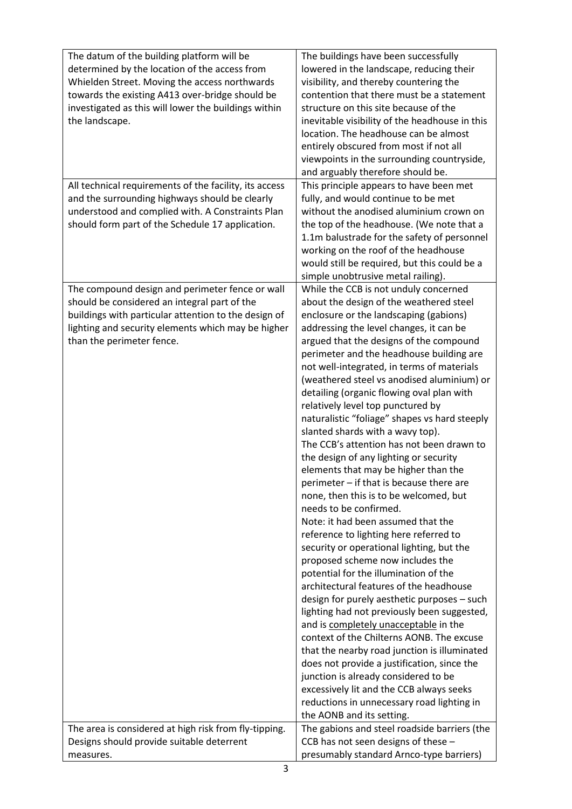| The datum of the building platform will be             | The buildings have been successfully           |
|--------------------------------------------------------|------------------------------------------------|
| determined by the location of the access from          | lowered in the landscape, reducing their       |
| Whielden Street. Moving the access northwards          | visibility, and thereby countering the         |
| towards the existing A413 over-bridge should be        | contention that there must be a statement      |
| investigated as this will lower the buildings within   | structure on this site because of the          |
| the landscape.                                         | inevitable visibility of the headhouse in this |
|                                                        | location. The headhouse can be almost          |
|                                                        | entirely obscured from most if not all         |
|                                                        | viewpoints in the surrounding countryside,     |
|                                                        | and arguably therefore should be.              |
| All technical requirements of the facility, its access | This principle appears to have been met        |
| and the surrounding highways should be clearly         | fully, and would continue to be met            |
| understood and complied with. A Constraints Plan       | without the anodised aluminium crown on        |
| should form part of the Schedule 17 application.       | the top of the headhouse. (We note that a      |
|                                                        | 1.1m balustrade for the safety of personnel    |
|                                                        | working on the roof of the headhouse           |
|                                                        | would still be required, but this could be a   |
|                                                        | simple unobtrusive metal railing).             |
| The compound design and perimeter fence or wall        | While the CCB is not unduly concerned          |
| should be considered an integral part of the           | about the design of the weathered steel        |
| buildings with particular attention to the design of   | enclosure or the landscaping (gabions)         |
| lighting and security elements which may be higher     | addressing the level changes, it can be        |
| than the perimeter fence.                              | argued that the designs of the compound        |
|                                                        | perimeter and the headhouse building are       |
|                                                        | not well-integrated, in terms of materials     |
|                                                        | (weathered steel vs anodised aluminium) or     |
|                                                        | detailing (organic flowing oval plan with      |
|                                                        | relatively level top punctured by              |
|                                                        | naturalistic "foliage" shapes vs hard steeply  |
|                                                        | slanted shards with a wavy top).               |
|                                                        | The CCB's attention has not been drawn to      |
|                                                        | the design of any lighting or security         |
|                                                        | elements that may be higher than the           |
|                                                        | perimeter - if that is because there are       |
|                                                        | none, then this is to be welcomed, but         |
|                                                        | needs to be confirmed.                         |
|                                                        | Note: it had been assumed that the             |
|                                                        | reference to lighting here referred to         |
|                                                        | security or operational lighting, but the      |
|                                                        | proposed scheme now includes the               |
|                                                        | potential for the illumination of the          |
|                                                        | architectural features of the headhouse        |
|                                                        | design for purely aesthetic purposes - such    |
|                                                        | lighting had not previously been suggested,    |
|                                                        | and is completely unacceptable in the          |
|                                                        | context of the Chilterns AONB. The excuse      |
|                                                        | that the nearby road junction is illuminated   |
|                                                        | does not provide a justification, since the    |
|                                                        | junction is already considered to be           |
|                                                        | excessively lit and the CCB always seeks       |
|                                                        | reductions in unnecessary road lighting in     |
|                                                        | the AONB and its setting.                      |
| The area is considered at high risk from fly-tipping.  | The gabions and steel roadside barriers (the   |
| Designs should provide suitable deterrent              | CCB has not seen designs of these -            |
| measures.                                              | presumably standard Arnco-type barriers)       |
|                                                        |                                                |